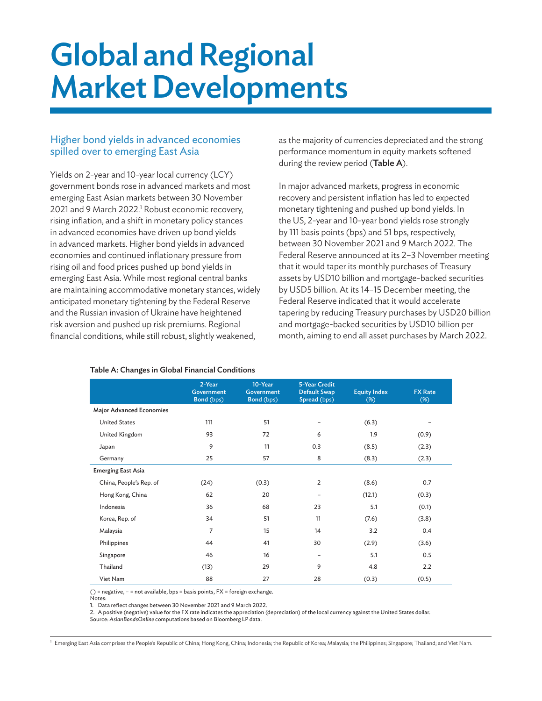# Global and Regional Market Developments

## Higher bond yields in advanced economies spilled over to emerging East Asia

Yields on 2-year and 10-year local currency (LCY) government bonds rose in advanced markets and most emerging East Asian markets between 30 November 2021 and 9 March 2022.<sup>1</sup> Robust economic recovery, rising inflation, and a shift in monetary policy stances in advanced economies have driven up bond yields in advanced markets. Higher bond yields in advanced economies and continued inflationary pressure from rising oil and food prices pushed up bond yields in emerging East Asia. While most regional central banks are maintaining accommodative monetary stances, widely anticipated monetary tightening by the Federal Reserve and the Russian invasion of Ukraine have heightened risk aversion and pushed up risk premiums. Regional financial conditions, while still robust, slightly weakened,

as the majority of currencies depreciated and the strong performance momentum in equity markets softened during the review period (Table A).

In major advanced markets, progress in economic recovery and persistent inflation has led to expected monetary tightening and pushed up bond yields. In the US, 2-year and 10-year bond yields rose strongly by 111 basis points (bps) and 51 bps, respectively, between 30 November 2021 and 9 March 2022. The Federal Reserve announced at its 2–3 November meeting that it would taper its monthly purchases of Treasury assets by USD10 billion and mortgage-backed securities by USD5 billion. At its 14–15 December meeting, the Federal Reserve indicated that it would accelerate tapering by reducing Treasury purchases by USD20 billion and mortgage-backed securities by USD10 billion per month, aiming to end all asset purchases by March 2022.

|                                 | 2-Year<br><b>Government</b><br>Bond (bps) | 10-Year<br><b>Government</b><br>Bond (bps) | <b>5-Year Credit</b><br><b>Default Swap</b><br>Spread (bps) | <b>Equity Index</b><br>$(\%)$ | <b>FX Rate</b><br>$(\%)$ |
|---------------------------------|-------------------------------------------|--------------------------------------------|-------------------------------------------------------------|-------------------------------|--------------------------|
| <b>Major Advanced Economies</b> |                                           |                                            |                                                             |                               |                          |
| <b>United States</b>            | 111                                       | 51                                         | -                                                           | (6.3)                         |                          |
| United Kingdom                  | 93                                        | 72                                         | 6                                                           | 1.9                           | (0.9)                    |
| Japan                           | 9                                         | 11                                         | 0.3                                                         | (8.5)                         | (2.3)                    |
| Germany                         | 25                                        | 57                                         | 8                                                           | (8.3)                         | (2.3)                    |
| <b>Emerging East Asia</b>       |                                           |                                            |                                                             |                               |                          |
| China, People's Rep. of         | (24)                                      | (0.3)                                      | 2                                                           | (8.6)                         | 0.7                      |
| Hong Kong, China                | 62                                        | 20                                         | -                                                           | (12.1)                        | (0.3)                    |
| Indonesia                       | 36                                        | 68                                         | 23                                                          | 5.1                           | (0.1)                    |
| Korea, Rep. of                  | 34                                        | 51                                         | 11                                                          | (7.6)                         | (3.8)                    |
| Malaysia                        | 7                                         | 15                                         | 14                                                          | 3.2                           | 0.4                      |
| Philippines                     | 44                                        | 41                                         | 30                                                          | (2.9)                         | (3.6)                    |
| Singapore                       | 46                                        | 16                                         | -                                                           | 5.1                           | 0.5                      |
| Thailand                        | (13)                                      | 29                                         | 9                                                           | 4.8                           | 2.2                      |
| Viet Nam                        | 88                                        | 27                                         | 28                                                          | (0.3)                         | (0.5)                    |

#### Table A: Changes in Global Financial Conditions

() = negative, - = not available, bps = basis points, FX = foreign exchange.

Notes:

1. Data reflect changes between 30 November 2021 and 9 March 2022.

2. A positive (negative) value for the FX rate indicates the appreciation (depreciation) of the local currency against the United States dollar.

Source: *AsianBondsOnline* computations based on Bloomberg LP data.

 $^{\rm 1}$  Emerging East Asia comprises the People's Republic of China; Hong Kong, China; Indonesia; the Republic of Korea; Malaysia; the Philippines; Singapore; Thailand; and Viet Nam.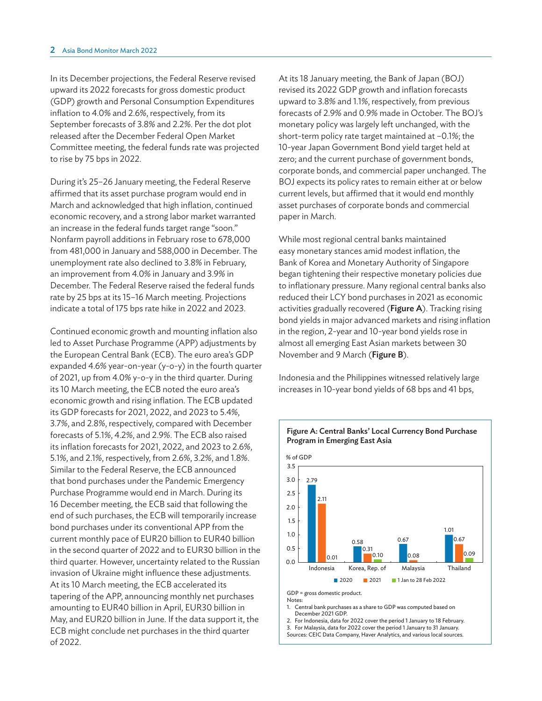In its December projections, the Federal Reserve revised upward its 2022 forecasts for gross domestic product (GDP) growth and Personal Consumption Expenditures inflation to 4.0% and 2.6%, respectively, from its September forecasts of 3.8% and 2.2%. Per the dot plot released after the December Federal Open Market Committee meeting, the federal funds rate was projected to rise by 75 bps in 2022.

During it's 25–26 January meeting, the Federal Reserve affirmed that its asset purchase program would end in March and acknowledged that high inflation, continued economic recovery, and a strong labor market warranted an increase in the federal funds target range "soon." Nonfarm payroll additions in February rose to 678,000 from 481,000 in January and 588,000 in December. The unemployment rate also declined to 3.8% in February, an improvement from 4.0% in January and 3.9% in December. The Federal Reserve raised the federal funds rate by 25 bps at its 15–16 March meeting. Projections indicate a total of 175 bps rate hike in 2022 and 2023.

Continued economic growth and mounting inflation also led to Asset Purchase Programme (APP) adjustments by the European Central Bank (ECB). The euro area's GDP expanded 4.6% year-on-year (y-o-y) in the fourth quarter of 2021, up from 4.0% y-o-y in the third quarter. During its 10 March meeting, the ECB noted the euro area's economic growth and rising inflation. The ECB updated its GDP forecasts for 2021, 2022, and 2023 to 5.4%, 3.7%, and 2.8%, respectively, compared with December forecasts of 5.1%, 4.2%, and 2.9%. The ECB also raised its inflation forecasts for 2021, 2022, and 2023 to 2.6%, 5.1%, and 2.1%, respectively, from 2.6%, 3.2%, and 1.8%. Similar to the Federal Reserve, the ECB announced that bond purchases under the Pandemic Emergency Purchase Programme would end in March. During its 16 December meeting, the ECB said that following the end of such purchases, the ECB will temporarily increase bond purchases under its conventional APP from the current monthly pace of EUR20 billion to EUR40 billion in the second quarter of 2022 and to EUR30 billion in the third quarter. However, uncertainty related to the Russian invasion of Ukraine might influence these adjustments. At its 10 March meeting, the ECB accelerated its tapering of the APP, announcing monthly net purchases amounting to EUR40 billion in April, EUR30 billion in May, and EUR20 billion in June. If the data support it, the ECB might conclude net purchases in the third quarter of 2022.

At its 18 January meeting, the Bank of Japan (BOJ) revised its 2022 GDP growth and inflation forecasts upward to 3.8% and 1.1%, respectively, from previous forecasts of 2.9% and 0.9% made in October. The BOJ's monetary policy was largely left unchanged, with the short-term policy rate target maintained at –0.1%; the 10-year Japan Government Bond yield target held at zero; and the current purchase of government bonds, corporate bonds, and commercial paper unchanged. The BOJ expects its policy rates to remain either at or below current levels, but affirmed that it would end monthly asset purchases of corporate bonds and commercial paper in March.

While most regional central banks maintained easy monetary stances amid modest inflation, the Bank of Korea and Monetary Authority of Singapore began tightening their respective monetary policies due to inflationary pressure. Many regional central banks also reduced their LCY bond purchases in 2021 as economic activities gradually recovered (Figure A). Tracking rising bond yields in major advanced markets and rising inflation in the region, 2-year and 10-year bond yields rose in almost all emerging East Asian markets between 30 November and 9 March (Figure B).

Indonesia and the Philippines witnessed relatively large increases in 10-year bond yields of 68 bps and 41 bps,





GDP = gross domestic product.

Notes: 1. Central bank purchases as a share to GDP was computed based on December 2021 GDP.

2. For Indonesia, data for 2022 cover the period 1 January to 18 February. 3. For Malaysia, data for 2022 cover the period 1 January to 31 January.

Sources: CEIC Data Company, Haver Analytics, and various local sources.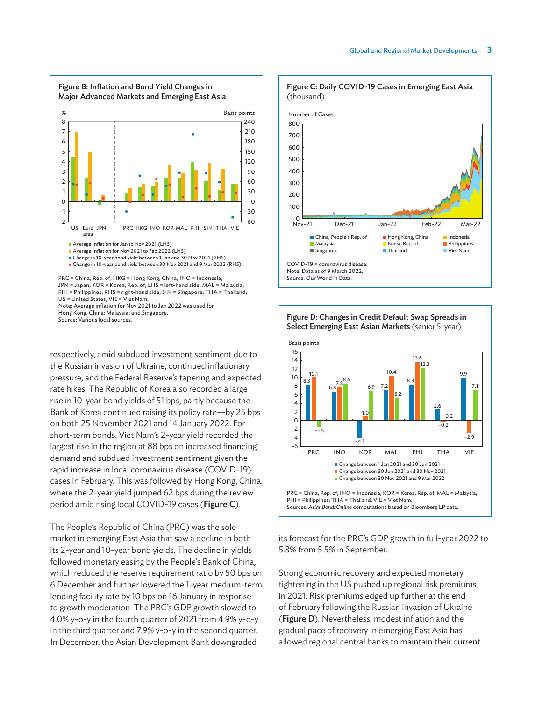

respectively, amid subdued investment sentiment due to the Russian invasion of Ukraine, continued inflationary pressure, and the Federal Reserve's tapering and expected rate hikes. The Republic of Korea also recorded a large rise in 10-year bond yields of 51 bps, partly because the Bank of Korea continued raising its policy rate—by 25 bps on both 25 November 2021 and 14 January 2022. For short-term bonds, Viet Nam's 2-year yield recorded the largest rise in the region at 88 bps on increased financing demand and subdued investment sentiment given the rapid increase in local coronavirus disease (COVID-19) cases in February. This was followed by Hong Kong, China, where the 2-year yield jumped 62 bps during the review period amid rising local COVID-19 cases (Figure C).

The People's Republic of China (PRC) was the sole market in emerging East Asia that saw a decline in both its 2-year and 10-year bond yields. The decline in yields followed monetary easing by the People's Bank of China, which reduced the reserve requirement ratio by 50 bps on 6 December and further lowered the 1-year medium-term lending facility rate by 10 bps on 16 January in response to growth moderation. The PRC's GDP growth slowed to 4.0% y-o-y in the fourth quarter of 2021 from 4.9% y-o-y in the third quarter and 7.9% y-o-y in the second quarter. In December, the Asian Development Bank downgraded







its forecast for the PRC's GDP growth in full-year 2022 to 5.3% from 5.5% in September.

Strong economic recovery and expected monetary tightening in the US pushed up regional risk premiums in 2021. Risk premiums edged up further at the end of February following the Russian invasion of Ukraine (Figure D). Nevertheless, modest inflation and the gradual pace of recovery in emerging East Asia has allowed regional central banks to maintain their current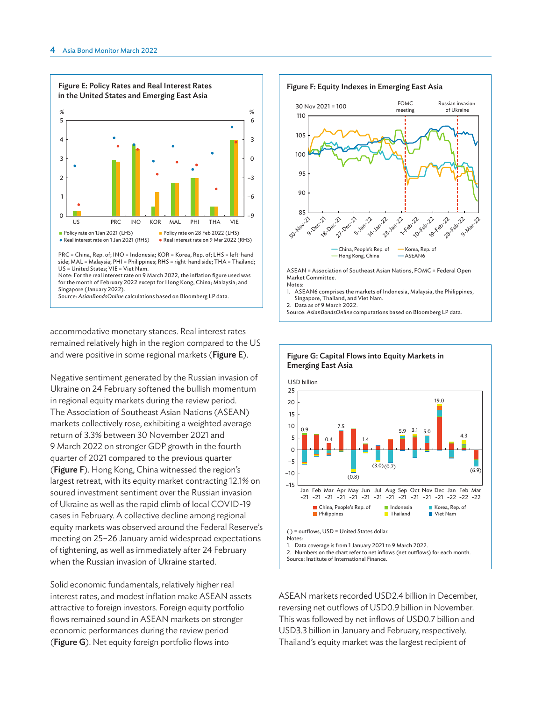

accommodative monetary stances. Real interest rates remained relatively high in the region compared to the US and were positive in some regional markets (Figure E).

Negative sentiment generated by the Russian invasion of Ukraine on 24 February softened the bullish momentum in regional equity markets during the review period. The Association of Southeast Asian Nations (ASEAN) markets collectively rose, exhibiting a weighted average return of 3.3% between 30 November 2021 and 9 March 2022 on stronger GDP growth in the fourth quarter of 2021 compared to the previous quarter (Figure F). Hong Kong, China witnessed the region's largest retreat, with its equity market contracting 12.1% on soured investment sentiment over the Russian invasion of Ukraine as well as the rapid climb of local COVID-19 cases in February. A collective decline among regional equity markets was observed around the Federal Reserve's meeting on 25–26 January amid widespread expectations of tightening, as well as immediately after 24 February when the Russian invasion of Ukraine started.

Solid economic fundamentals, relatively higher real interest rates, and modest inflation make ASEAN assets attractive to foreign investors. Foreign equity portfolio flows remained sound in ASEAN markets on stronger economic performances during the review period (Figure G). Net equity foreign portfolio flows into



1. ASEAN6 comprises the markets of Indonesia, Malaysia, the Philippines, Singapore, Thailand, and Viet Nam.

2. Data as of 9 March 2022.

Source: *AsianBondsOnline* computations based on Bloomberg LP data.



ASEAN markets recorded USD2.4 billion in December, reversing net outflows of USD0.9 billion in November. This was followed by net inflows of USD0.7 billion and USD3.3 billion in January and February, respectively. Thailand's equity market was the largest recipient of

### Figure G: Capital Flows into Equity Markets in Emerging East Asia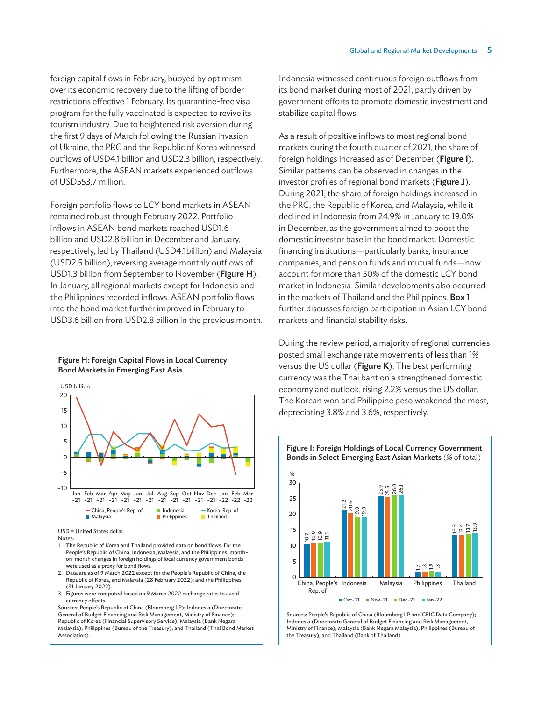foreign capital flows in February, buoyed by optimism over its economic recovery due to the lifting of border restrictions effective 1 February. Its quarantine-free visa program for the fully vaccinated is expected to revive its tourism industry. Due to heightened risk aversion during the first 9 days of March following the Russian invasion of Ukraine, the PRC and the Republic of Korea witnessed outflows of USD4.1 billion and USD2.3 billion, respectively. Furthermore, the ASEAN markets experienced outflows of USD553.7 million.

Foreign portfolio flows to LCY bond markets in ASEAN remained robust through February 2022. Portfolio inflows in ASEAN bond markets reached USD1.6 billion and USD2.8 billion in December and January, respectively, led by Thailand (USD4.1billion) and Malaysia (USD2.5 billion), reversing average monthly outflows of USD1.3 billion from September to November (Figure H). In January, all regional markets except for Indonesia and the Philippines recorded inflows. ASEAN portfolio flows into the bond market further improved in February to USD3.6 billion from USD2.8 billion in the previous month.



3. Figures were computed based on 9 March 2022 exchange rates to avoid currency effects.

Sources: People's Republic of China (Bloomberg LP); Indonesia (Directorate General of Budget Financing and Risk Management, Ministry of Finance); Republic of Korea (Financial Supervisory Service); Malaysia (Bank Negara Malaysia); Philippines (Bureau of the Treasury); and Thailand (Thai Bond Market Association).

Indonesia witnessed continuous foreign outflows from its bond market during most of 2021, partly driven by government efforts to promote domestic investment and stabilize capital flows.

As a result of positive inflows to most regional bond markets during the fourth quarter of 2021, the share of foreign holdings increased as of December (Figure I). Similar patterns can be observed in changes in the investor profiles of regional bond markets (Figure J). During 2021, the share of foreign holdings increased in the PRC, the Republic of Korea, and Malaysia, while it declined in Indonesia from 24.9% in January to 19.0% in December, as the government aimed to boost the domestic investor base in the bond market. Domestic financing institutions—particularly banks, insurance companies, and pension funds and mutual funds—now account for more than 50% of the domestic LCY bond market in Indonesia. Similar developments also occurred in the markets of Thailand and the Philippines. Box 1 further discusses foreign participation in Asian LCY bond markets and financial stability risks.

During the review period, a majority of regional currencies posted small exchange rate movements of less than 1% versus the US dollar (Figure  $K$ ). The best performing currency was the Thai baht on a strengthened domestic economy and outlook, rising 2.2% versus the US dollar. The Korean won and Philippine peso weakened the most, depreciating 3.8% and 3.6%, respectively.



Sources: People's Republic of China (Bloomberg LP and CEIC Data Company); Indonesia (Directorate General of Budget Financing and Risk Management, Ministry of Finance); Malaysia (Bank Negara Malaysia); Philippines (Bureau of the Treasury); and Thailand (Bank of Thailand).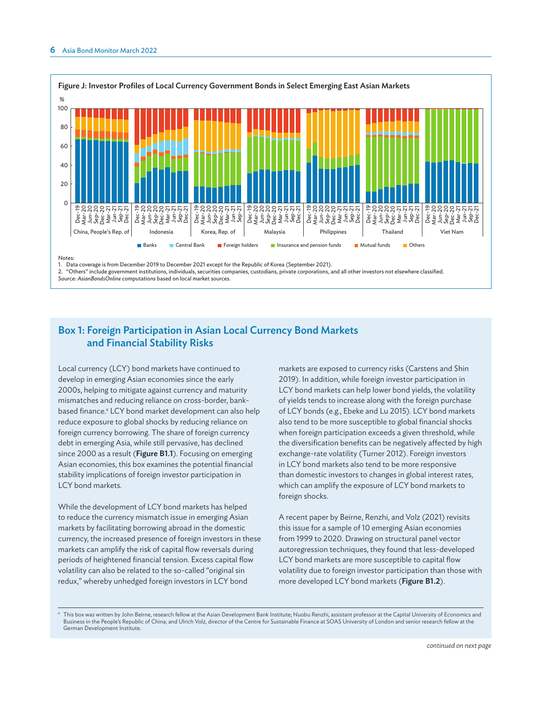

1. Data coverage is from December 2019 to December 2021 except for the Republic of Korea (September 2021).

2. "Others" include government institutions, individuals, securities companies, custodians, private corporations, and all other investors not elsewhere classified. Source: *AsianBondsOnline* computations based on local market sources.

## Box 1: Foreign Participation in Asian Local Currency Bond Markets and Financial Stability Risks

Local currency (LCY) bond markets have continued to develop in emerging Asian economies since the early 2000s, helping to mitigate against currency and maturity mismatches and reducing reliance on cross-border, bankbased finance.ª LCY bond market development can also help reduce exposure to global shocks by reducing reliance on foreign currency borrowing. The share of foreign currency debt in emerging Asia, while still pervasive, has declined since 2000 as a result (Figure B1.1). Focusing on emerging Asian economies, this box examines the potential financial stability implications of foreign investor participation in LCY bond markets.

While the development of LCY bond markets has helped to reduce the currency mismatch issue in emerging Asian markets by facilitating borrowing abroad in the domestic currency, the increased presence of foreign investors in these markets can amplify the risk of capital flow reversals during periods of heightened financial tension. Excess capital flow volatility can also be related to the so-called "original sin redux," whereby unhedged foreign investors in LCY bond

markets are exposed to currency risks (Carstens and Shin 2019). In addition, while foreign investor participation in LCY bond markets can help lower bond yields, the volatility of yields tends to increase along with the foreign purchase of LCY bonds (e.g., Ebeke and Lu 2015). LCY bond markets also tend to be more susceptible to global financial shocks when foreign participation exceeds a given threshold, while the diversification benefits can be negatively affected by high exchange-rate volatility (Turner 2012). Foreign investors in LCY bond markets also tend to be more responsive than domestic investors to changes in global interest rates, which can amplify the exposure of LCY bond markets to foreign shocks.

A recent paper by Beirne, Renzhi, and Volz (2021) revisits this issue for a sample of 10 emerging Asian economies from 1999 to 2020. Drawing on structural panel vector autoregression techniques, they found that less-developed LCY bond markets are more susceptible to capital flow volatility due to foreign investor participation than those with more developed LCY bond markets (Figure B1.2).

<sup>a</sup> This box was written by John Beirne, research fellow at the Asian Development Bank Institute; Nuobu Renzhi, assistant professor at the Capital University of Economics and Business in the People's Republic of China; and Ulrich Volz, director of the Centre for Sustainable Finance at SOAS University of London and senior research fellow at the German Development Institute.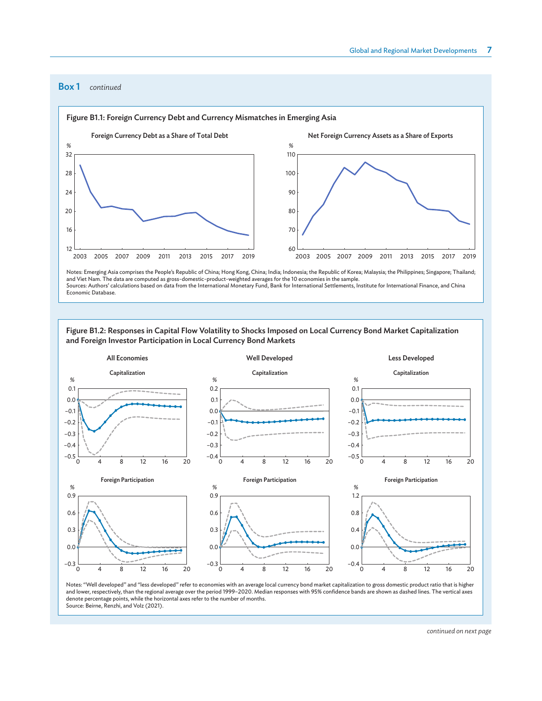#### Box 1 *continued*



Notes: Emerging Asia comprises the People's Republic of China; Hong Kong, China; India; Indonesia; the Republic of Korea; Malaysia; the Philippines; Singapore; Thailand; and Viet Nam. The data are computed as gross-domestic-product-weighted averages for the 10 economies in the sample. Sources: Authors' calculations based on data from the International Monetary Fund, Bank for International Settlements, Institute for International Finance, and China Economic Database.





Notes: "Well developed" and "less developed" refer to economies with an average local currency bond market capitalization to gross domestic product ratio that is higher<br>and lower, respectively, than the regional average ov denote percentage points, while the horizontal axes refer to the number of months. Source: Beirne, Renzhi, and Volz (2021).

*continued on next page*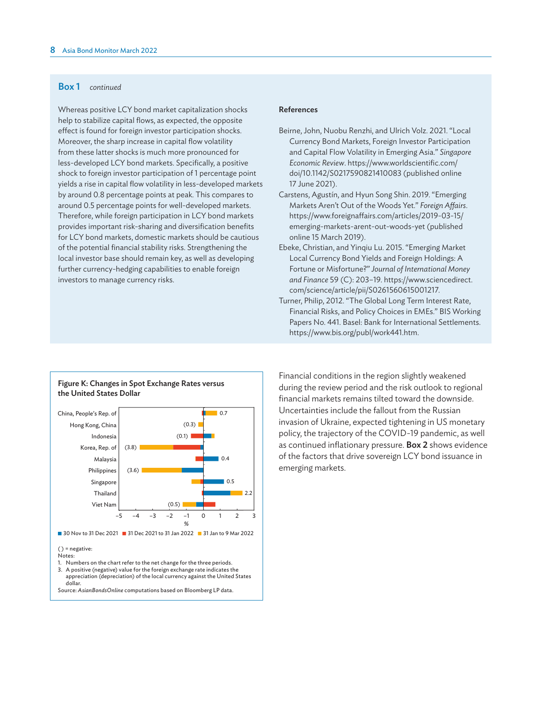#### Box 1 *continued*

Whereas positive LCY bond market capitalization shocks help to stabilize capital flows, as expected, the opposite effect is found for foreign investor participation shocks. Moreover, the sharp increase in capital flow volatility from these latter shocks is much more pronounced for less-developed LCY bond markets. Specifically, a positive shock to foreign investor participation of 1 percentage point yields a rise in capital flow volatility in less-developed markets by around 0.8 percentage points at peak. This compares to around 0.5 percentage points for well-developed markets. Therefore, while foreign participation in LCY bond markets provides important risk-sharing and diversification benefits for LCY bond markets, domestic markets should be cautious of the potential financial stability risks. Strengthening the local investor base should remain key, as well as developing further currency-hedging capabilities to enable foreign investors to manage currency risks.

## References

- Beirne, John, Nuobu Renzhi, and Ulrich Volz. 2021. "Local Currency Bond Markets, Foreign Investor Participation and Capital Flow Volatility in Emerging Asia." *Singapore Economic Review*. [https://www.worldscientific.com/](https://www.worldscientific.com/doi/10.1142/S0217590821410083) [doi/10.1142/S0217590821410083](https://www.worldscientific.com/doi/10.1142/S0217590821410083) (published online 17 June 2021).
- Carstens, Agustín, and Hyun Song Shin. 2019. "Emerging Markets Aren't Out of the Woods Yet." *Foreign Affairs*. [https://www.foreignaffairs.com/articles/2019-03-15/](https://www.foreignaffairs.com/articles/2019-03-15/emerging-markets-arent-out-woods-yet) [emerging-markets-arent-out-woods-yet](https://www.foreignaffairs.com/articles/2019-03-15/emerging-markets-arent-out-woods-yet) (published online 15 March 2019).
- Ebeke, Christian, and Yinqiu Lu. 2015. "Emerging Market Local Currency Bond Yields and Foreign Holdings: A Fortune or Misfortune?" *Journal of International Money and Finance* 59 (C): 203–19. [https://www.sciencedirect.](https://www.sciencedirect.com/science/article/pii/S0261560615001217) [com/science/article/pii/S0261560615001217](https://www.sciencedirect.com/science/article/pii/S0261560615001217).
- Turner, Philip, 2012. "The Global Long Term Interest Rate, Financial Risks, and Policy Choices in EMEs." BIS Working Papers No. 441. Basel: Bank for International Settlements. [https://www.bis.org/publ/work441.htm.](https://www.bis.org/publ/work441.htm)

Financial conditions in the region slightly weakened during the review period and the risk outlook to regional financial markets remains tilted toward the downside. Uncertainties include the fallout from the Russian invasion of Ukraine, expected tightening in US monetary policy, the trajectory of the COVID-19 pandemic, as well as continued inflationary pressure. Box 2 shows evidence of the factors that drive sovereign LCY bond issuance in emerging markets.

#### Figure K: Changes in Spot Exchange Rates versus the United States Dollar



appreciation (depreciation) of the local currency against the United States dollar. Source: *AsianBondsOnline* computations based on Bloomberg LP data.